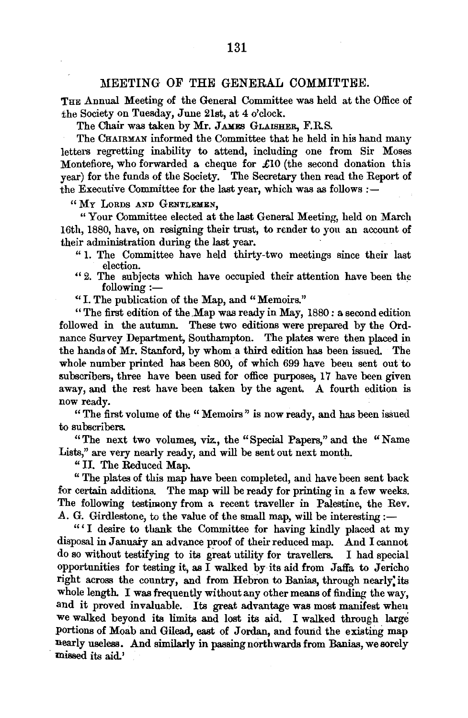## MEETING OF THE GENERAL COMMITTEE.

THE Annual Meeting of the General Committee was held at the Office of the Society on Tuesday, June 21st, at 4 o'clock.

The Chair was taken by Mr. JAMES GLAISHER, F.R.S.

The CHAIRMAN informed the Committee that he held in his hand many letters regretting inability to attend, including one from Sir Moses Montefiore, who forwarded a cheque for £10 (the second donation this year) for the funds of the Society. The Secretary then read the Report of the Executive Committee for the last year, which was as follows  $:$  -

"MY LORDS AND GENTLEMEN,

"Your Committee elected at the last General Meeting, held on March 16th, 1880, have, on resigning their trust, to render to you an account of their administration during the last year.

- " 1. The Committee have held thirty-two meetings since their last election.
- "2. The subjects which have occupied their attention have been the following :following :— $\cdot$  I. The publication of the Map, and "Memoirs."

"The first edition of the .Map was ready in May, 1880 : a second edition followed in the autumn. These two editions were prepared by the Ordnance Survey Department, Southampton. The plates were then placed in the hands of Mr. Stanford, by whom a third edition has been issued. The whole number printed has been 800, of which 699 have beeu sent out to subscribers, three have been used for office purposes, 17 have been given away, and the rest have been taken by the agent. A fourth edition is now ready.

"The first volume of the "Memoirs" is now ready, and has been is8ued to subscribers.

"The next two volumes, viz., the "Special Papers," and the "Name Lists," are very nearly ready, and will be sent out next month.

" II. The Reduced Map.

"The plates of this map have been completed, and have been sent back for certain additions. The map will be ready for printing in a few weeks. The following testimony from a recent traveller in Palestine, the Rev. A. G. Girdlestone, to the value of the small map, will be interesting  $:$ 

"' I desire to thank the Committee for having kindly placed at my disposal in January an advance proof of their reduced map. And I cannot do so without testifying to its great utility for travellers. I had special opportunities for testing it, as I walked by its aid from Jaffa to Jericho right across the country, and from Hebron to Banias, through nearly' its whole length. I was frequently without any other means of finding the way, and it proved invaluable. Its great advantage was most manifest when we walked beyond its limits and lost its aid. I walked through large portions of Moab and Gilead, east of Jordan, and found the existmg map nearly useless. And similarly in passing northwards from Banias, we sorely missed its aid.'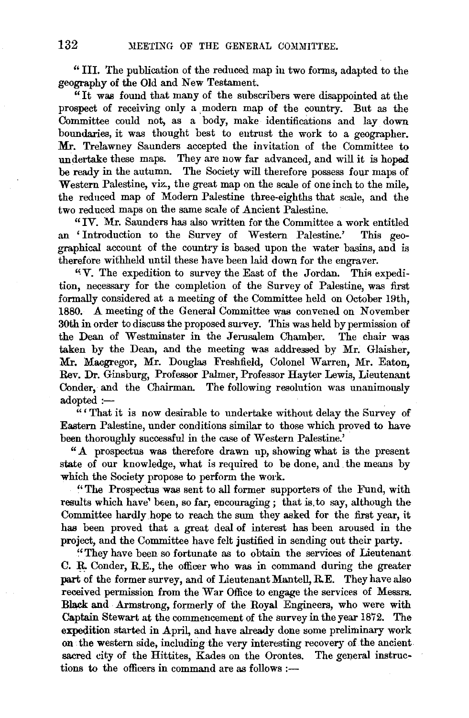"III. The publication of the reduced map iu two forms, adapted to the geography of the Old and New Testament.

 $\mathbf{u}$ <sup>u</sup> It was found that many of the subscribers were disappointed at the prospect of receiving only a modern map of the country. But as the Committee could not, as a body, make identifications and lay down boundaries, it was thought best to entrust the work to a geographer. Mr. Trelawney Saunders accepted the invitation of the Committee to undertake these maps. They are now far advanced, and will it is hoped be ready in the autumn. The Society will therefore possess four maps of Western Palestine, viz., the great map on the scale of one inch to the mile, the reduced map of Modern Palestine three-eighths that scale, and the two reduced maps on the same scale of Ancient Palestine.

"IV. Mr. Saunders has also written for the Committee a work entitled an 'Introduction to the Survey of Western Palestine.' This geographical account of the country is based upon the water basins, and is therefore withheld until these have been laid down for the engraver.

"V. The expedition to survey the East of the Jordan. This expedition, necessary for the completion of the Survey of Palestine, was first formally considered at a meeting of the Committee held on October 19th, 1880. A meeting of the General Committee was convened on November 30th in order to discuss the proposed survey. This was held by permission of the Dean of Westminster in the Jerusalem Chamber. The chair was taken by the Dean, and the meeting was addressed by Mr. Glaisher, Mr. Macgregor, Mr. Douglas Freshfield, Colonel Warren, Mr. Eaton, Rev. Dr. Ginsburg, Professor Palmer, Professor Hayter Lewis, Lieutenant Conder, and the Chairman. The following resolution was unanimously adopted:-

""That it is now desirable to undertake without delay the Survey of Eastern Palestine, under conditions similar to those which proved to have been thoroughly successful in the case of Western Palestine.'

"A prospectus was therefore drawn up, showing what is the present state of our knowledge, what is required to be done, and the means by which the Society propose to perform the work.

"The Prospectus was sent to all former supporters of the Fund, with results which have' been, so far, encouraging; that is to say, although the Committee hardly hope to reach the sum they asked for the first year, it has been proved that a great deal of interest has been aroused in the project, and the Committee have felt justified in sending out their party.

"They have been so fortunate as to obtain the services of Lieutenant C. R. Conder, R.E., the officer who was in command during the greater part of the former survey, and of Lieutenant Mantell, R.E. They have also received permission from the War Office to engage the services of Messrs. Blaek and Armstrong, formerly of the Royal Engineers, who were with Captain Stewart at the commencement of the survey in the year 1872. The expedition started in April, and have already done some preliminary work on the western side, including the very interesting recovery of the ancient sacred city of the Hittites, Kades on the Orontes. The general instructions to the officers in command are as follows  $:$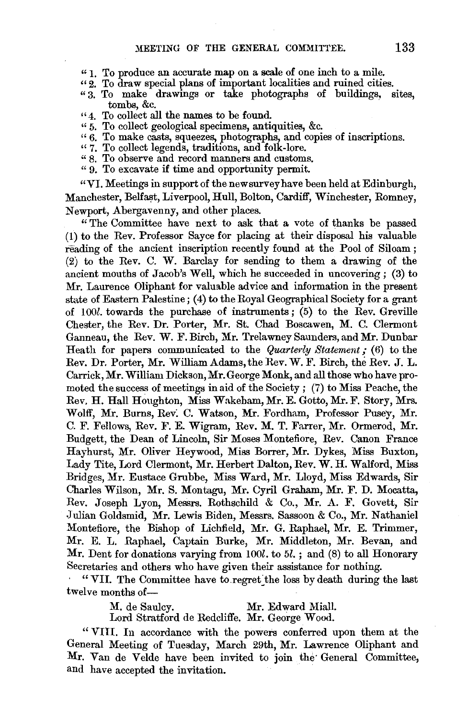- $"1.$  To produce an accurate map on a scale of one inch to a mile.
- $\sqrt{2}$ . To draw special plans of important localities and ruined cities.
- " 3. To make drawings or take photographs of buildings, sites, tombs, &c.
- "4. To collect all the names to be found.
- " 5. To collect geological specimens, antiquities, &c.
- " 6. To make casts, squeezes, photographs, and copies of inscriptions. "7. To collect legends, traditions, and folk-lore.
- 
- " 8. To observe and record manners and customs.
- " 9. To excavate if time and opportunity permit.

"VI. Meetings in support of the new survey have been held at Edinburgh, Manchester, Belfast, Liverpool, Hull, Bolton, Cardiff, Winchester, Romney, Newport, Abergavenny, and other places.

" The Committee have next to ask that a vote of thanks be passed (1) to the Rev. Professor Sayce for placing at their disposal his valuable reading of the ancient inscription recently found at the Pool of Siloam ; (2) to the Rev. C. W. Barclay for sending to them a drawing of the ancient mouths of Jacob's Well, which he succeeded in uncovering; (3) to Mr. Laurence Oliphant for valuable advice and information in the present state of Eastern Palestine; (4) to the Royal Geographical Society for a grant of *lOOl.* towards the purchase of instruments ; (5) to the Rev. Greville Chester, the Rev. Dr. Porter, Mr. St. Chad Boscawen, M. C. Clermont Ganneau, the Rev. W. F. Birch, Mr. Trelawney Saunders, and Mr. Dunbar Heath for papers communicated to the *Quarterly Statement*; (6) to the Rev. Dr. Porter, Mr. William Adams, the Rev. W. F. Birch, the Rev. J. L. Carrick, Mr. William Dickson, Mr. George Monk, and all those who have promoted the success of meetings in aid of the Society ; (7) to Miss Peache, the Rev. H. Hall Houghton, Miss Wakeham, Mr. E. Gotto, Mr. F. Story, Mrs. Wolff, Mr. Burns, Rev: C. Watson, Mr. Fordham, Professor Pusey, Mr. C. F. Fellows, Rev. F. E. Wigram, Rev. M. T. Farrer, Mr. Ormerod, Mr. Budgett, the Dean of Lincoln, Sir Moses Montefiore, Rev. Canon France Hayhurst, Mr. Oliver Heywood, Miss Borrer, Mr. Dykes, Miss Buxton, Lady Tite, Lord Clermont, Mr. Herbert Dalton, Rev. W. H. Walford, Miss Bridges, Mr. Eustace Grubbe, Miss Ward, Mr. Lloyd, Miss Edwards, Sir Charles Wilson, Mr. S. Montagu, Mr. Cyril Graham, Mr. F. D. Mocatta, Rev. Joseph Lyon, Messrs. Rothschild & Co., Mr. A. F. Govett, Sir .Julian Goldsmid, Mr. Lewis Biden, Messrs. Sassoon & Co., Mr. Nathaniel Montefiore, the Bishop of Lichfield, Mr. G. Raphael, Mr. E. Trimmer, Mr. E. L. Raphael, Captain Burke, Mr. Middleton, Mr. Bevan, and Mr. Dent for donations varying from 100l, to  $5l$ , ; and  $(8)$  to all Honorary Secretaries and others who have given their assistance for nothing.

"VII. The Committee have to regret the loss by death during the last twelve months of-

M. de Saulcy. Mr. Edward Miall.

Lord Stratford de Redcliffe. Mr. George Wood.

"VIII. In accordance with the powers conferred upon them at the General Meeting of Tuesday, March 29th, Mr. Lawrence Oliphant and Mr. Van de Velde have been invited to join the General Committee, and have accepted the invitation.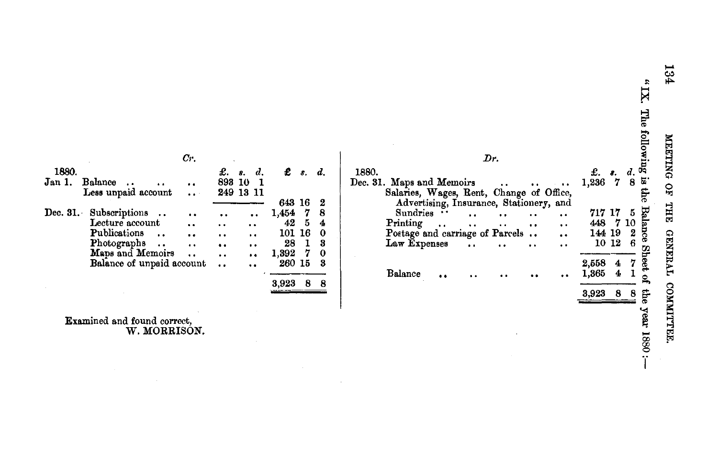$\mathbf{X}$  is The following is the Balance Sheet the year 1880 :-

 $\begin{array}{c} d. \\ 8 \end{array}$ 

 $\bf 5$ 

£.  $\frac{1}{2}$ .<br>1,236 7

717 17

2,558  $\overline{\mathbf{4}}$ 7

1,365  $\overline{\mathbf{4}}$ T.

448 7 10

 $\begin{array}{rrr} 144 & 19 & 2 \\ 10 & 12 & 6 \end{array}$ 

3,923 8 8

|                                                                             | $_{Cr.}$                                     |                                              |                                  |                        |                     |               | Dr.                                                                                                                                                                                                                              |  |
|-----------------------------------------------------------------------------|----------------------------------------------|----------------------------------------------|----------------------------------|------------------------|---------------------|---------------|----------------------------------------------------------------------------------------------------------------------------------------------------------------------------------------------------------------------------------|--|
| Balance<br>$\ddot{\phantom{1}}$<br>Less unpaid account                      | $\ddot{\phantom{a}}$<br>$\bullet$ $\bullet$  | £. s.<br>893 10                              | d.<br>249 13 11                  | $\mathbf{f}$ s.<br>643 | -16                 | d.<br>2       | 1880.<br>Dec. 31. Maps and Memoirs<br>$\ddot{\phantom{0}}$<br>$-$<br>$\ddot{\phantom{0}}$<br>Salaries, Wages, Rent, Change of Office,<br>Advertising, Insurance, Stationery, and                                                 |  |
| Subscriptions<br>Lecture account                                            | $\ddot{\phantom{a}}$<br>$\ddot{\phantom{a}}$ | $\ddot{\phantom{0}}$<br>$\ddot{\phantom{1}}$ | $\bullet$<br>$\cdot$             | 1,454<br>42            | -7<br>5             | 8<br>4        | Sundries<br>$\ddot{\phantom{0}}$<br>$\cdots$<br>$\cdot \cdot$<br>$\cdot$<br>Printing<br>$\ddot{\phantom{0}}$<br>$\bullet\hspace{0.1cm} \bullet\hspace{0.1cm} \bullet$<br>$\bullet$<br>$\bullet$ $\bullet$<br>$\bullet$ $\bullet$ |  |
| Publications<br>$\ddot{\phantom{0}}$<br>Photographs<br>$\ddot{\phantom{a}}$ | $\bullet$<br>$\ddot{\phantom{0}}$            | $\ddot{\phantom{0}}$<br>$\bullet$            | $\ddot{\phantom{1}}$<br>$\cdots$ | 101.<br>28             | -16<br>$\mathbf{1}$ | 0<br>3        | Postage and carriage of Parcels<br>$\ddot{\bullet}$<br>Law Expenses<br>$\ddot{\phantom{a}}$<br>$\ddot{\phantom{0}}$<br>$\ddot{\phantom{0}}$<br>$\ddot{\phantom{1}}$                                                              |  |
| Maps and Memoirs<br>Balance of unpaid account                               | $\ddot{\phantom{a}}$                         | $\ddot{\phantom{0}}$<br>$\ddot{\phantom{0}}$ | $\bullet$<br>$\cdot$ .           | 1,392<br>260 15        | - 7                 | $\bf{0}$<br>3 |                                                                                                                                                                                                                                  |  |
|                                                                             |                                              |                                              |                                  | $3.923\quad 8$         |                     | 8             | <b>Balance</b><br>$\cdot$<br>$^{\circ}$<br>$\bullet$<br>$\cdot$                                                                                                                                                                  |  |

**Examined and found correct,<br>W. MORRISON.** 

1880.

Jan 1. Balance .. ...<br>Less unpaid account

Dec. 31. Subscriptions ..<br>Lecture account